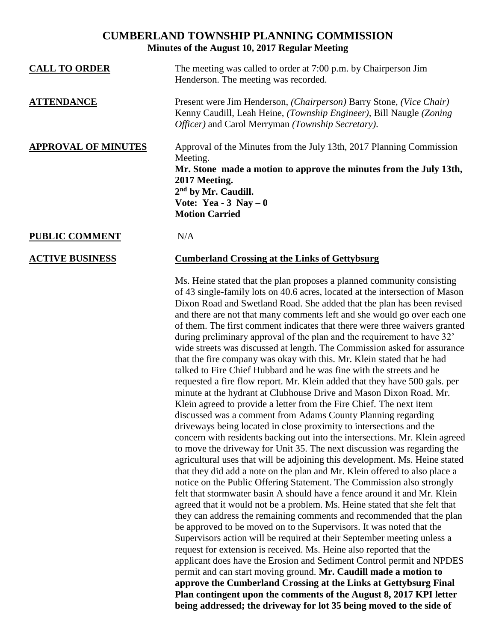## **CUMBERLAND TOWNSHIP PLANNING COMMISSION Minutes of the August 10, 2017 Regular Meeting**

| <b>CALL TO ORDER</b>       | The meeting was called to order at 7:00 p.m. by Chairperson Jim<br>Henderson. The meeting was recorded.                                                                                                                                                         |
|----------------------------|-----------------------------------------------------------------------------------------------------------------------------------------------------------------------------------------------------------------------------------------------------------------|
| <b>ATTENDANCE</b>          | Present were Jim Henderson, (Chairperson) Barry Stone, (Vice Chair)<br>Kenny Caudill, Leah Heine, (Township Engineer), Bill Naugle (Zoning<br>Officer) and Carol Merryman (Township Secretary).                                                                 |
| <b>APPROVAL OF MINUTES</b> | Approval of the Minutes from the July 13th, 2017 Planning Commission<br>Meeting.<br>Mr. Stone made a motion to approve the minutes from the July 13th,<br>2017 Meeting.<br>2 <sup>nd</sup> by Mr. Caudill.<br>Vote: Yea - $3$ Nay $-0$<br><b>Motion Carried</b> |
| <b>PUBLIC COMMENT</b>      | N/A                                                                                                                                                                                                                                                             |

## **ACTIVE BUSINESS Cumberland Crossing at the Links of Gettybsurg**

Ms. Heine stated that the plan proposes a planned community consisting of 43 single-family lots on 40.6 acres, located at the intersection of Mason Dixon Road and Swetland Road. She added that the plan has been revised and there are not that many comments left and she would go over each one of them. The first comment indicates that there were three waivers granted during preliminary approval of the plan and the requirement to have 32' wide streets was discussed at length. The Commission asked for assurance that the fire company was okay with this. Mr. Klein stated that he had talked to Fire Chief Hubbard and he was fine with the streets and he requested a fire flow report. Mr. Klein added that they have 500 gals. per minute at the hydrant at Clubhouse Drive and Mason Dixon Road. Mr. Klein agreed to provide a letter from the Fire Chief. The next item discussed was a comment from Adams County Planning regarding driveways being located in close proximity to intersections and the concern with residents backing out into the intersections. Mr. Klein agreed to move the driveway for Unit 35. The next discussion was regarding the agricultural uses that will be adjoining this development. Ms. Heine stated that they did add a note on the plan and Mr. Klein offered to also place a notice on the Public Offering Statement. The Commission also strongly felt that stormwater basin A should have a fence around it and Mr. Klein agreed that it would not be a problem. Ms. Heine stated that she felt that they can address the remaining comments and recommended that the plan be approved to be moved on to the Supervisors. It was noted that the Supervisors action will be required at their September meeting unless a request for extension is received. Ms. Heine also reported that the applicant does have the Erosion and Sediment Control permit and NPDES permit and can start moving ground. **Mr. Caudill made a motion to approve the Cumberland Crossing at the Links at Gettybsurg Final Plan contingent upon the comments of the August 8, 2017 KPI letter being addressed; the driveway for lot 35 being moved to the side of**